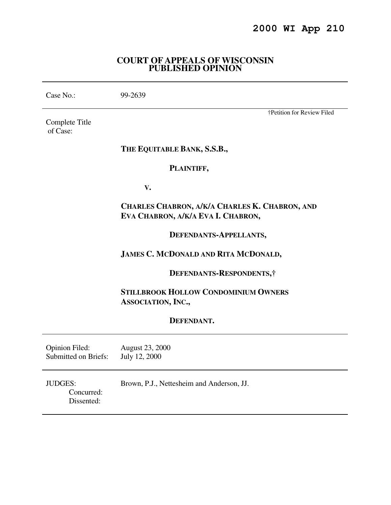### **COURT OF APPEALS OF WISCONSIN PUBLISHED OPINION**

| Case No.: | 99-2639 |
|-----------|---------|
|-----------|---------|

Complete Title of Case:

# †Petition for Review Filed

#### **THE EQUITABLE BANK, S.S.B.,**

### **PLAINTIFF,**

 **V.** 

# **CHARLES CHABRON, A/K/A CHARLES K. CHABRON, AND EVA CHABRON, A/K/A EVA I. CHABRON,**

#### **DEFENDANTS-APPELLANTS,**

# **JAMES C. MCDONALD AND RITA MCDONALD,**

 **DEFENDANTS-RESPONDENTS,†** 

**STILLBROOK HOLLOW CONDOMINIUM OWNERS ASSOCIATION, INC.,** 

#### **DEFENDANT.**

| <b>Opinion Filed:</b> | <b>August 23, 2000</b> |
|-----------------------|------------------------|
| Submitted on Briefs:  | July 12, 2000          |

JUDGES: Brown, P.J., Nettesheim and Anderson, JJ. Concurred: Dissented: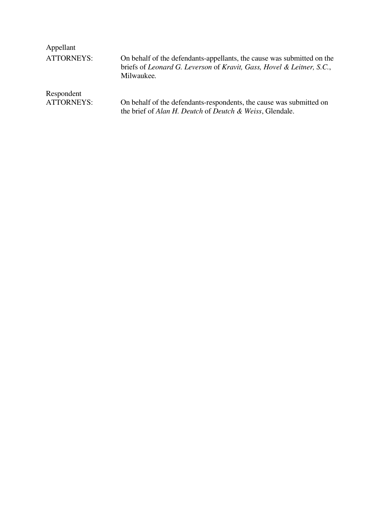| Appellant         |                                                                                                                                                               |
|-------------------|---------------------------------------------------------------------------------------------------------------------------------------------------------------|
| <b>ATTORNEYS:</b> | On behalf of the defendants-appellants, the cause was submitted on the<br>briefs of Leonard G. Leverson of Kravit, Gass, Hovel & Leitner, S.C.,<br>Milwaukee. |
| Respondent        |                                                                                                                                                               |
| <b>ATTORNEYS:</b> | On behalf of the defendants-respondents, the cause was submitted on<br>the brief of Alan H. Deutch of Deutch & Weiss, Glendale.                               |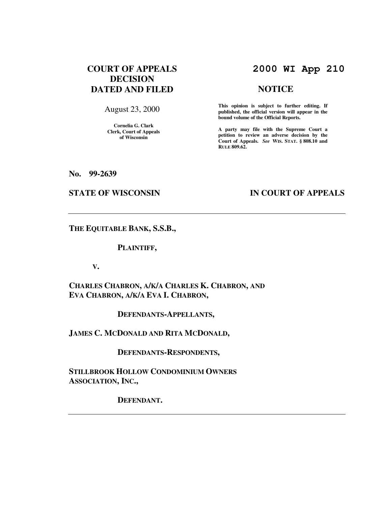# **COURT OF APPEALS DECISION DATED AND FILED**

August 23, 2000

**Cornelia G. Clark Clerk, Court of Appeals of Wisconsin** 

# **2000 WI App 210**

#### **NOTICE**

**This opinion is subject to further editing. If published, the official version will appear in the bound volume of the Official Reports.**

**A party may file with the Supreme Court a petition to review an adverse decision by the Court of Appeals.** *See* **WIS. STAT. § 808.10 and RULE 809.62.** 

**No. 99-2639** 

#### **STATE OF WISCONSIN IN COURT OF APPEALS**

**THE EQUITABLE BANK, S.S.B.,** 

#### **PLAINTIFF,**

 **V.** 

**CHARLES CHABRON, A/K/A CHARLES K. CHABRON, AND EVA CHABRON, A/K/A EVA I. CHABRON,** 

 **DEFENDANTS-APPELLANTS,** 

**JAMES C. MCDONALD AND RITA MCDONALD,** 

 **DEFENDANTS-RESPONDENTS,** 

**STILLBROOK HOLLOW CONDOMINIUM OWNERS ASSOCIATION, INC.,** 

 **DEFENDANT.**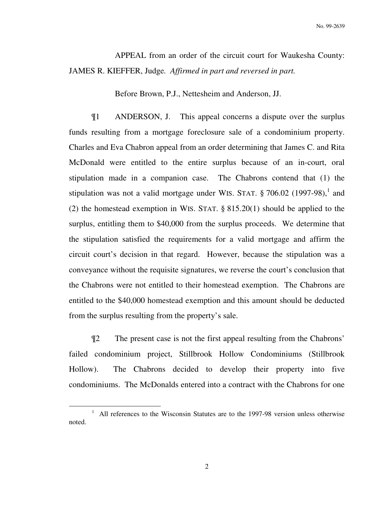No. 99-2639

 APPEAL from an order of the circuit court for Waukesha County: JAMES R. KIEFFER, Judge*. Affirmed in part and reversed in part.*

Before Brown, P.J., Nettesheim and Anderson, JJ.

 ¶1 ANDERSON, J. This appeal concerns a dispute over the surplus funds resulting from a mortgage foreclosure sale of a condominium property. Charles and Eva Chabron appeal from an order determining that James C. and Rita McDonald were entitled to the entire surplus because of an in-court, oral stipulation made in a companion case. The Chabrons contend that (1) the stipulation was not a valid mortgage under WIS. STAT.  $\S 706.02$  (1997-98),<sup>1</sup> and (2) the homestead exemption in WIS. STAT. § 815.20(1) should be applied to the surplus, entitling them to \$40,000 from the surplus proceeds. We determine that the stipulation satisfied the requirements for a valid mortgage and affirm the circuit court's decision in that regard. However, because the stipulation was a conveyance without the requisite signatures, we reverse the court's conclusion that the Chabrons were not entitled to their homestead exemption. The Chabrons are entitled to the \$40,000 homestead exemption and this amount should be deducted from the surplus resulting from the property's sale.

 ¶2 The present case is not the first appeal resulting from the Chabrons' failed condominium project, Stillbrook Hollow Condominiums (Stillbrook Hollow). The Chabrons decided to develop their property into five condominiums. The McDonalds entered into a contract with the Chabrons for one

 $\overline{a}$ 

<sup>&</sup>lt;sup>1</sup> All references to the Wisconsin Statutes are to the 1997-98 version unless otherwise noted.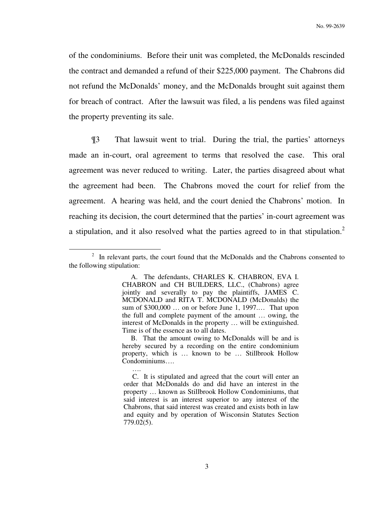of the condominiums. Before their unit was completed, the McDonalds rescinded the contract and demanded a refund of their \$225,000 payment. The Chabrons did not refund the McDonalds' money, and the McDonalds brought suit against them for breach of contract. After the lawsuit was filed, a lis pendens was filed against the property preventing its sale.

 ¶3 That lawsuit went to trial. During the trial, the parties' attorneys made an in-court, oral agreement to terms that resolved the case. This oral agreement was never reduced to writing. Later, the parties disagreed about what the agreement had been. The Chabrons moved the court for relief from the agreement. A hearing was held, and the court denied the Chabrons' motion. In reaching its decision, the court determined that the parties' in-court agreement was a stipulation, and it also resolved what the parties agreed to in that stipulation.<sup>2</sup>

 $\overline{a}$ 

<sup>&</sup>lt;sup>2</sup> In relevant parts, the court found that the McDonalds and the Chabrons consented to the following stipulation:

A. The defendants, CHARLES K. CHABRON, EVA I. CHABRON and CH BUILDERS, LLC., (Chabrons) agree jointly and severally to pay the plaintiffs, JAMES C. MCDONALD and RITA T. MCDONALD (McDonalds) the sum of \$300,000 … on or before June 1, 1997.… That upon the full and complete payment of the amount … owing, the interest of McDonalds in the property … will be extinguished. Time is of the essence as to all dates.

B. That the amount owing to McDonalds will be and is hereby secured by a recording on the entire condominium property, which is … known to be … Stillbrook Hollow Condominiums….

<sup>….</sup>  C. It is stipulated and agreed that the court will enter an order that McDonalds do and did have an interest in the property … known as Stillbrook Hollow Condominiums, that said interest is an interest superior to any interest of the Chabrons, that said interest was created and exists both in law and equity and by operation of Wisconsin Statutes Section 779.02(5).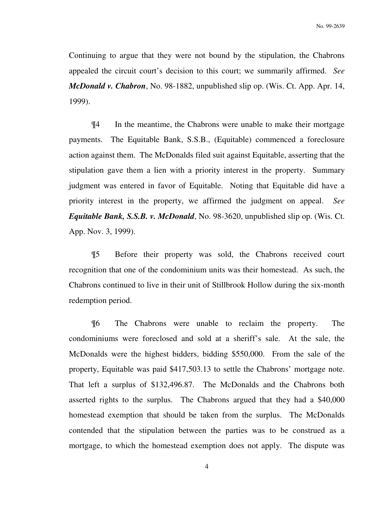Continuing to argue that they were not bound by the stipulation, the Chabrons appealed the circuit court's decision to this court; we summarily affirmed. *See McDonald v. Chabron*, No. 98-1882, unpublished slip op. (Wis. Ct. App. Apr. 14, 1999).

 ¶4 In the meantime, the Chabrons were unable to make their mortgage payments. The Equitable Bank, S.S.B., (Equitable) commenced a foreclosure action against them. The McDonalds filed suit against Equitable, asserting that the stipulation gave them a lien with a priority interest in the property. Summary judgment was entered in favor of Equitable. Noting that Equitable did have a priority interest in the property, we affirmed the judgment on appeal. *See Equitable Bank, S.S.B. v. McDonald*, No. 98-3620, unpublished slip op. (Wis. Ct. App. Nov. 3, 1999).

 ¶5 Before their property was sold, the Chabrons received court recognition that one of the condominium units was their homestead. As such, the Chabrons continued to live in their unit of Stillbrook Hollow during the six-month redemption period.

 ¶6 The Chabrons were unable to reclaim the property. The condominiums were foreclosed and sold at a sheriff's sale. At the sale, the McDonalds were the highest bidders, bidding \$550,000. From the sale of the property, Equitable was paid \$417,503.13 to settle the Chabrons' mortgage note. That left a surplus of \$132,496.87. The McDonalds and the Chabrons both asserted rights to the surplus. The Chabrons argued that they had a \$40,000 homestead exemption that should be taken from the surplus. The McDonalds contended that the stipulation between the parties was to be construed as a mortgage, to which the homestead exemption does not apply. The dispute was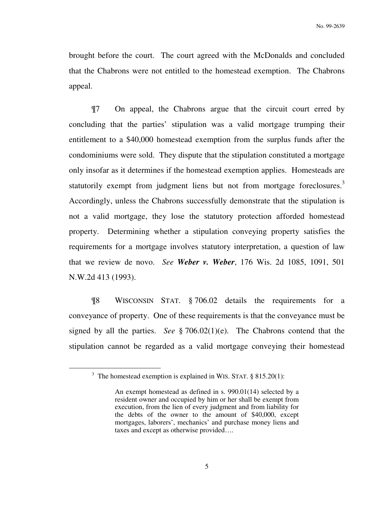brought before the court. The court agreed with the McDonalds and concluded that the Chabrons were not entitled to the homestead exemption. The Chabrons appeal.

 ¶7 On appeal, the Chabrons argue that the circuit court erred by concluding that the parties' stipulation was a valid mortgage trumping their entitlement to a \$40,000 homestead exemption from the surplus funds after the condominiums were sold. They dispute that the stipulation constituted a mortgage only insofar as it determines if the homestead exemption applies. Homesteads are statutorily exempt from judgment liens but not from mortgage foreclosures.<sup>3</sup> Accordingly, unless the Chabrons successfully demonstrate that the stipulation is not a valid mortgage, they lose the statutory protection afforded homestead property. Determining whether a stipulation conveying property satisfies the requirements for a mortgage involves statutory interpretation, a question of law that we review de novo. *See Weber v. Weber*, 176 Wis. 2d 1085, 1091, 501 N.W.2d 413 (1993).

 ¶8 WISCONSIN STAT. § 706.02 details the requirements for a conveyance of property. One of these requirements is that the conveyance must be signed by all the parties. *See* § 706.02(1)(e). The Chabrons contend that the stipulation cannot be regarded as a valid mortgage conveying their homestead

 $\overline{a}$ 

<sup>&</sup>lt;sup>3</sup> The homestead exemption is explained in WIS. STAT.  $§ 815.20(1)$ :

An exempt homestead as defined in s. 990.01(14) selected by a resident owner and occupied by him or her shall be exempt from execution, from the lien of every judgment and from liability for the debts of the owner to the amount of \$40,000, except mortgages, laborers', mechanics' and purchase money liens and taxes and except as otherwise provided….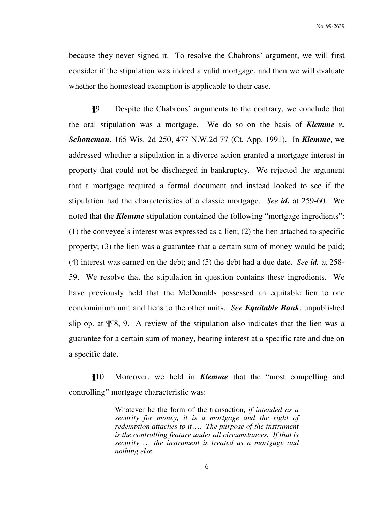because they never signed it. To resolve the Chabrons' argument, we will first consider if the stipulation was indeed a valid mortgage, and then we will evaluate whether the homestead exemption is applicable to their case.

¶9 Despite the Chabrons' arguments to the contrary, we conclude that the oral stipulation was a mortgage. We do so on the basis of *Klemme v. Schoneman*, 165 Wis. 2d 250, 477 N.W.2d 77 (Ct. App. 1991). In *Klemme*, we addressed whether a stipulation in a divorce action granted a mortgage interest in property that could not be discharged in bankruptcy. We rejected the argument that a mortgage required a formal document and instead looked to see if the stipulation had the characteristics of a classic mortgage. *See id.* at 259-60. We noted that the *Klemme* stipulation contained the following "mortgage ingredients": (1) the conveyee's interest was expressed as a lien; (2) the lien attached to specific property; (3) the lien was a guarantee that a certain sum of money would be paid; (4) interest was earned on the debt; and (5) the debt had a due date. *See id.* at 258- 59. We resolve that the stipulation in question contains these ingredients. We have previously held that the McDonalds possessed an equitable lien to one condominium unit and liens to the other units. *See Equitable Bank*, unpublished slip op. at ¶¶8, 9. A review of the stipulation also indicates that the lien was a guarantee for a certain sum of money, bearing interest at a specific rate and due on a specific date.

¶10 Moreover, we held in *Klemme* that the "most compelling and controlling" mortgage characteristic was:

> Whatever be the form of the transaction, *if intended as a security for money, it is a mortgage and the right of redemption attaches to it*…. *The purpose of the instrument is the controlling feature under all circumstances. If that is security* … *the instrument is treated as a mortgage and nothing else.*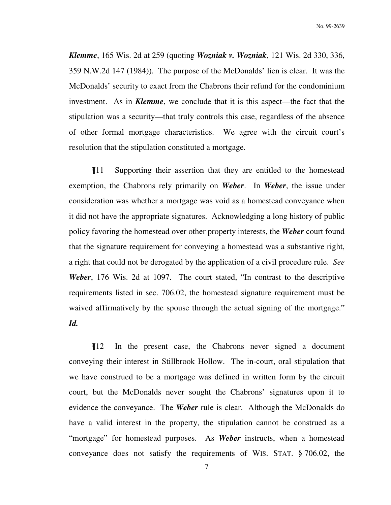*Klemme*, 165 Wis. 2d at 259 (quoting *Wozniak v. Wozniak*, 121 Wis. 2d 330, 336, 359 N.W.2d 147 (1984)). The purpose of the McDonalds' lien is clear. It was the McDonalds' security to exact from the Chabrons their refund for the condominium investment. As in *Klemme*, we conclude that it is this aspect—the fact that the stipulation was a security—that truly controls this case, regardless of the absence of other formal mortgage characteristics. We agree with the circuit court's resolution that the stipulation constituted a mortgage.

¶11 Supporting their assertion that they are entitled to the homestead exemption, the Chabrons rely primarily on *Weber*. In *Weber*, the issue under consideration was whether a mortgage was void as a homestead conveyance when it did not have the appropriate signatures. Acknowledging a long history of public policy favoring the homestead over other property interests, the *Weber* court found that the signature requirement for conveying a homestead was a substantive right, a right that could not be derogated by the application of a civil procedure rule. *See Weber*, 176 Wis. 2d at 1097. The court stated, "In contrast to the descriptive requirements listed in sec. 706.02, the homestead signature requirement must be waived affirmatively by the spouse through the actual signing of the mortgage." *Id.*

¶12 In the present case, the Chabrons never signed a document conveying their interest in Stillbrook Hollow. The in-court, oral stipulation that we have construed to be a mortgage was defined in written form by the circuit court, but the McDonalds never sought the Chabrons' signatures upon it to evidence the conveyance. The *Weber* rule is clear. Although the McDonalds do have a valid interest in the property, the stipulation cannot be construed as a "mortgage" for homestead purposes. As *Weber* instructs, when a homestead conveyance does not satisfy the requirements of WIS. STAT. § 706.02, the

7